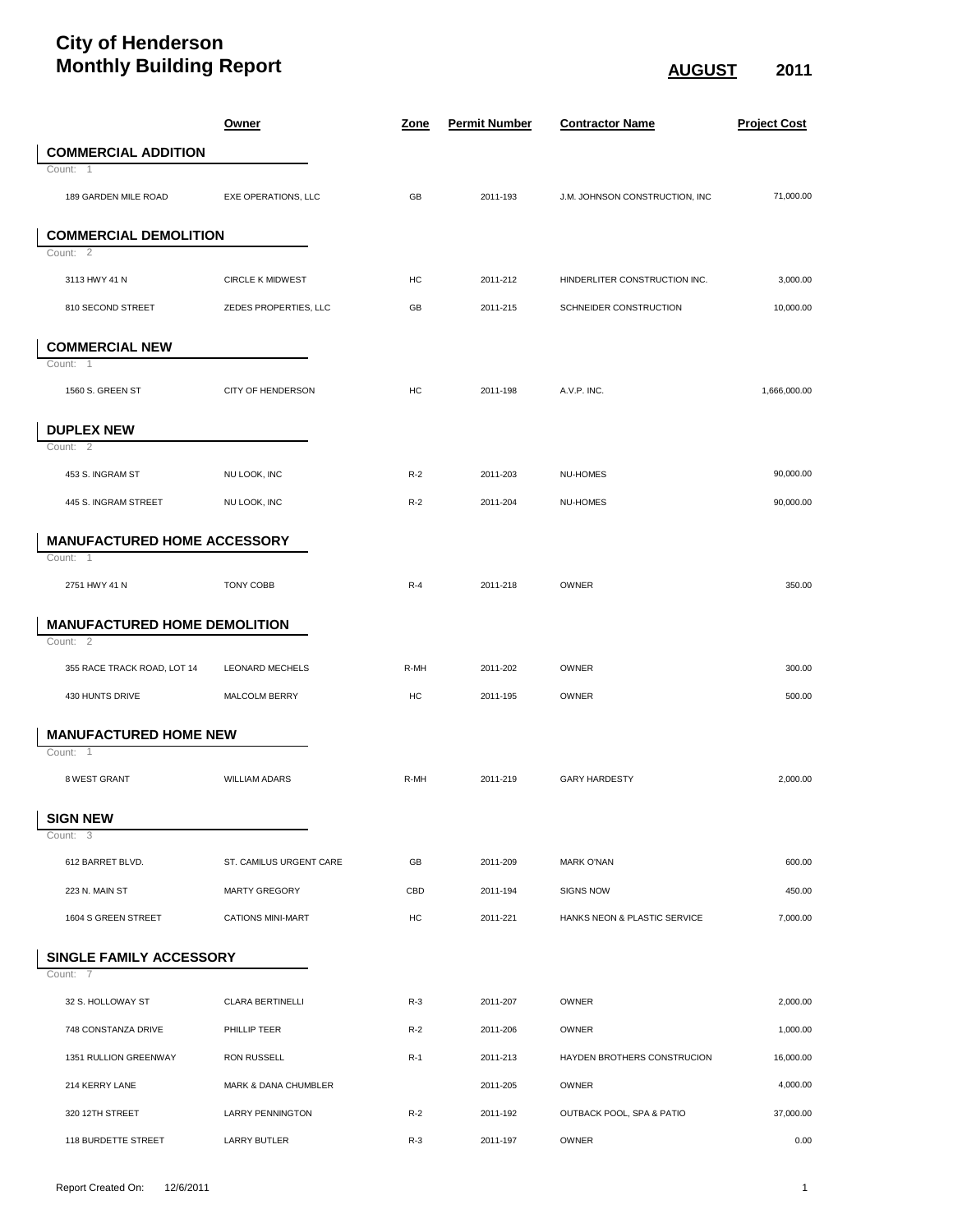## **City of Henderson Monthly Building Report** August 2011

|                                     | <b>Owner</b>             | Zone  | <b>Permit Number</b> | <b>Contractor Name</b>         | <b>Project Cost</b> |
|-------------------------------------|--------------------------|-------|----------------------|--------------------------------|---------------------|
| <b>COMMERCIAL ADDITION</b>          |                          |       |                      |                                |                     |
| Count: 1                            |                          |       |                      |                                |                     |
| 189 GARDEN MILE ROAD                | EXE OPERATIONS, LLC      | GB    | 2011-193             | J.M. JOHNSON CONSTRUCTION, INC | 71,000.00           |
| <b>COMMERCIAL DEMOLITION</b>        |                          |       |                      |                                |                     |
| Count: 2                            |                          |       |                      |                                |                     |
| 3113 HWY 41 N                       | <b>CIRCLE K MIDWEST</b>  | HC    | 2011-212             | HINDERLITER CONSTRUCTION INC.  | 3,000.00            |
| 810 SECOND STREET                   | ZEDES PROPERTIES, LLC    | GB    | 2011-215             | SCHNEIDER CONSTRUCTION         | 10,000.00           |
| <b>COMMERCIAL NEW</b>               |                          |       |                      |                                |                     |
| Count: 1                            |                          |       |                      |                                |                     |
| 1560 S. GREEN ST                    | <b>CITY OF HENDERSON</b> | HC    | 2011-198             | A.V.P. INC.                    | 1,666,000.00        |
| <b>DUPLEX NEW</b>                   |                          |       |                      |                                |                     |
| Count: 2                            |                          |       |                      |                                |                     |
| 453 S. INGRAM ST                    | NU LOOK, INC             | $R-2$ | 2011-203             | NU-HOMES                       | 90,000.00           |
| 445 S. INGRAM STREET                | NU LOOK, INC             | $R-2$ | 2011-204             | NU-HOMES                       | 90,000.00           |
| <b>MANUFACTURED HOME ACCESSORY</b>  |                          |       |                      |                                |                     |
| Count: 1                            |                          |       |                      |                                |                     |
| 2751 HWY 41 N                       | TONY COBB                | $R-4$ | 2011-218             | OWNER                          | 350.00              |
| <b>MANUFACTURED HOME DEMOLITION</b> |                          |       |                      |                                |                     |
| Count: 2                            |                          |       |                      |                                |                     |
| 355 RACE TRACK ROAD, LOT 14         | <b>LEONARD MECHELS</b>   | R-MH  | 2011-202             | OWNER                          | 300.00              |
| 430 HUNTS DRIVE                     | MALCOLM BERRY            | HC    | 2011-195             | OWNER                          | 500.00              |
| <b>MANUFACTURED HOME NEW</b>        |                          |       |                      |                                |                     |
| Count:<br>-1                        |                          |       |                      |                                |                     |
| 8 WEST GRANT                        | <b>WILLIAM ADARS</b>     | R-MH  | 2011-219             | <b>GARY HARDESTY</b>           | 2,000.00            |
| <b>SIGN NEW</b>                     |                          |       |                      |                                |                     |
| Count: 3                            |                          |       |                      |                                |                     |
| 612 BARRET BLVD.                    | ST. CAMILUS URGENT CARE  | GB    | 2011-209             | <b>MARK O'NAN</b>              | 600.00              |
| 223 N. MAIN ST                      | <b>MARTY GREGORY</b>     | CBD   | 2011-194             | <b>SIGNS NOW</b>               | 450.00              |
| 1604 S GREEN STREET                 | <b>CATIONS MINI-MART</b> | HC    | 2011-221             | HANKS NEON & PLASTIC SERVICE   | 7,000.00            |
| SINGLE FAMILY ACCESSORY             |                          |       |                      |                                |                     |
| Count: 7                            |                          |       |                      |                                |                     |
| 32 S. HOLLOWAY ST                   | <b>CLARA BERTINELLI</b>  | $R-3$ | 2011-207             | OWNER                          | 2,000.00            |
| 748 CONSTANZA DRIVE                 | PHILLIP TEER             | $R-2$ | 2011-206             | OWNER                          | 1,000.00            |
| 1351 RULLION GREENWAY               | <b>RON RUSSELL</b>       | $R-1$ | 2011-213             | HAYDEN BROTHERS CONSTRUCION    | 16,000.00           |
| 214 KERRY LANE                      | MARK & DANA CHUMBLER     |       | 2011-205             | OWNER                          | 4,000.00            |
| 320 12TH STREET                     | <b>LARRY PENNINGTON</b>  | $R-2$ | 2011-192             | OUTBACK POOL, SPA & PATIO      | 37,000.00           |
| 118 BURDETTE STREET                 | <b>LARRY BUTLER</b>      | $R-3$ | 2011-197             | <b>OWNER</b>                   | 0.00                |